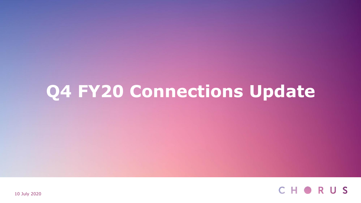# **Q4 FY20 Connections Update**



10 July 2020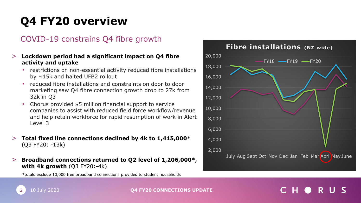## **Q4 FY20 overview**

### COVID-19 constrains Q4 fibre growth

#### > **Lockdown period had a significant impact on Q4 fibre activity and uptake**

- **•** restrictions on non-essential activity reduced fibre installations by ~15k and halted UFB2 rollout
- reduced fibre installations and constraints on door to door marketing saw Q4 fibre connection growth drop to 27k from 32k in Q3
- Chorus provided \$5 million financial support to service companies to assist with reduced field force workflow/revenue and help retain workforce for rapid resumption of work in Alert Level 3
- > **Total fixed line connections declined by 4k to 1,415,000\***  (Q3 FY20: -13k)
- > **Broadband connections returned to Q2 level of 1,206,000\*, with 4k growth** (Q3 FY20:-4k)

\*totals exclude 10,000 free broadband connections provided to student households



### 10 July 2020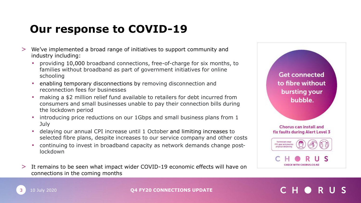## **Our response to COVID-19**

- > We've implemented a broad range of initiatives to support community and industry including:
	- providing 10,000 broadband connections, free-of-charge for six months, to families without broadband as part of government initiatives for online schooling
	- enabling temporary disconnections by removing disconnection and reconnection fees for businesses
	- **•** making a \$2 million relief fund available to retailers for debt incurred from consumers and small businesses unable to pay their connection bills during the lockdown period
	- introducing price reductions on our 1Gbps and small business plans from 1 July
	- delaying our annual CPI increase until 1 October and limiting increases to selected fibre plans, despite increases to our service company and other costs
	- continuing to invest in broadband capacity as network demands change postlockdown
- > It remains to be seen what impact wider COVID-19 economic effects will have on connections in the coming months

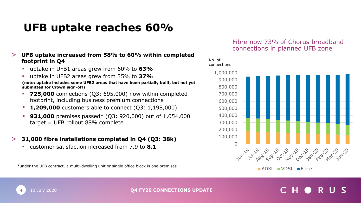## **UFB uptake reaches 60%**

#### > **UFB uptake increased from 58% to 60% within completed footprint in Q4**

- uptake in UFB1 areas grew from 60% to **63%**
- uptake in UFB2 areas grew from 35% to **37% (note: uptake includes some UFB2 areas that have been partially built, but not yet submitted for Crown sign-off)**
- **725,000** connections (Q3: 695,000) now within completed footprint, including business premium connections
- **1,209,000** customers able to connect (Q3: 1,198,000)
- **931,000** premises passed\* (Q3: 920,000) out of 1,054,000 target = UFB rollout 88% complete
- > **31,000 fibre installations completed in Q4 (Q3: 38k)**
	- customer satisfaction increased from 7.9 to **8.1**

\*under the UFB contract, a multi-dwelling unit or single office block is one premises

#### Fibre now 73% of Chorus broadband connections in planned UFB zone

#### No. of connections





4 10 July 2020 **Q4 FY20 CONNECTIONS UPDATE**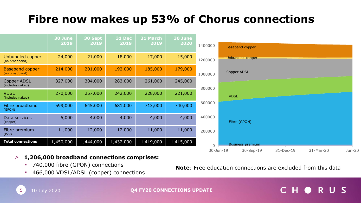## **Fibre now makes up 53% of Chorus connections**

|                                          | 30 June<br>2019 | 30 Sept<br>2019 | <u>  3</u> 1 Dec<br>2019 | 31 March<br>2019 | 30 June<br>2020 | 1400000        | <b>Baseband copper</b>                                     |
|------------------------------------------|-----------------|-----------------|--------------------------|------------------|-----------------|----------------|------------------------------------------------------------|
| Unbundled copper<br>(no broadband)       | 24,000          | 21,000          | 18,000                   | 17,000           | 15,000          | 1200000        | Unbundled copper                                           |
| <b>Baseband copper</b><br>(no broadband) | 214,000         | 201,000         | 192,000                  | 185,000          | 179,000         | 1000000        | Copper ADSL                                                |
| <b>Copper ADSL</b><br>(includes naked)   | 327,000         | 304,000         | 283,000                  | 261,000          | 245,000         | 800000         |                                                            |
| <b>VDSL</b><br>(includes naked)          | 270,000         | 257,000         | 242,000                  | 228,000          | 221,000         |                | <b>VDSL</b>                                                |
| Fibre broadband<br>(GPON)                | 599,000         | 645,000         | 681,000                  | 713,000          | 740,000         | 600000         |                                                            |
| Data services<br>(copper)                | 5,000           | 4,000           | 4,000                    | 4,000            | 4,000           | 400000         | Fibre (GPON)                                               |
| Fibre premium<br>(P2P)                   | 11,000          | 12,000          | 12,000                   | 11,000           | 11,000          | 200000         |                                                            |
| <b>Total connections</b>                 | 1,450,000       | 1,444,000       | 1,432,000                | 1,419,000        | 1,415,000       | $\overline{0}$ | <b>Business premium</b>                                    |
|                                          |                 |                 |                          |                  |                 |                | 31-Dec-19<br>31-Mar-20<br>Jun-20<br>30-Jun-19<br>30-Sep-19 |

### > **1,206,000 broadband connections comprises:**

- 740,000 fibre (GPON) connections
- 466,000 VDSL/ADSL (copper) connections

**Note**: Free education connections are excluded from this data

#### C H O RUS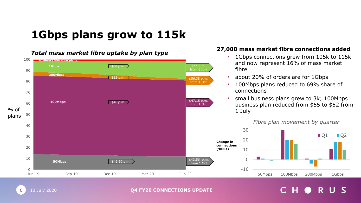## **1Gbps plans grow to 115k**



**Q4 FY20 CONNECTIONS UPDATE**

#### *Total mass market fibre uptake by plan type*

10 July 2020

6

#### **27,000 mass market fibre connections added**

- **1Gbps connections grew from 105k to 115k** and now represent 16% of mass market
- **about 20% of orders are for 1Gbps**
- 100Mbps plans reduced to 69% share of connections
- **•** small business plans grew to 3k; 100Mbps business plan reduced from \$55 to \$52 from

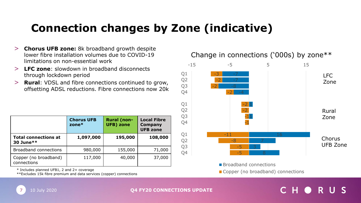## **Connection changes by Zone (indicative)**

- > **Chorus UFB zone:** 8k broadband growth despite lower fibre installation volumes due to COVID-19 limitations on non-essential work
- > **LFC zone**: slowdown in broadband disconnects through lockdown period
- **Rural:** VDSL and fibre connections continued to grow, offsetting ADSL reductions. Fibre connections now 20k

|                                          | <b>Chorus UFB</b><br>zone $*$ | <b>Rural (non-</b><br><b>UFB)</b> zone | <b>Local Fibre</b><br><b>Company</b><br><b>UFB zone</b> |
|------------------------------------------|-------------------------------|----------------------------------------|---------------------------------------------------------|
| <b>Total connections at</b><br>30 June** | 1,097,000                     | 195,000                                | 108,000                                                 |
| <b>Broadband connections</b>             | 980,000                       | 155,000                                | 71,000                                                  |
| Copper (no broadband)<br>connections     | 117,000                       | 40,000                                 | 37,000                                                  |

\* Includes planned UFB1, 2 and 2+ coverage

\*\*Excludes 15k fibre premium and data services (copper) connections



### Change in connections ('000s) by zone\*\*

**Broadband connections** 

Copper (no broadband) connections

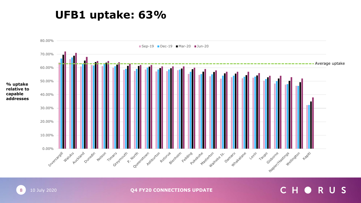### **UFB1 uptake: 63%**



8 10 July 2020 **Q4 FY20 CONNECTIONS UPDATE** 

### CHORUS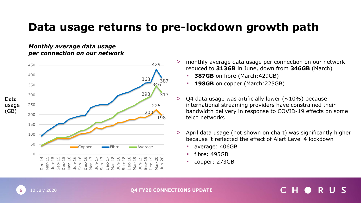### **Data usage returns to pre-lockdown growth path**

#### *Monthly average data usage per connection on our network*



- monthly average data usage per connection on our network reduced to **313GB** in June, down from **346GB** (March)
	- **387GB** on fibre (March: 429GB)
	- **198GB** on copper (March: 225GB)
- $>$  Q4 data usage was artificially lower ( $\sim$ 10%) because international streaming providers have constrained their bandwidth delivery in response to COVID-19 effects on some telco networks
- > April data usage (not shown on chart) was significantly higher because it reflected the effect of Alert Level 4 lockdown
	- average: 406GB
	- $fibre: 495GB$
	- copper: 273GB

10 July 2020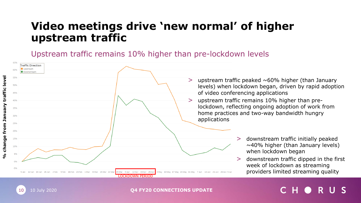### **Video meetings drive 'new normal' of higher upstream traffic**

Upstream traffic remains 10% higher than pre-lockdown levels

10 10 July 2020

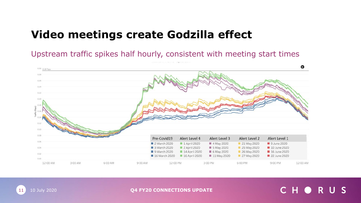### **Video meetings create Godzilla effect**

Upstream traffic spikes half hourly, consistent with meeting start times





**Q4 FY20 CONNECTIONS UPDATE**

### CHORUS